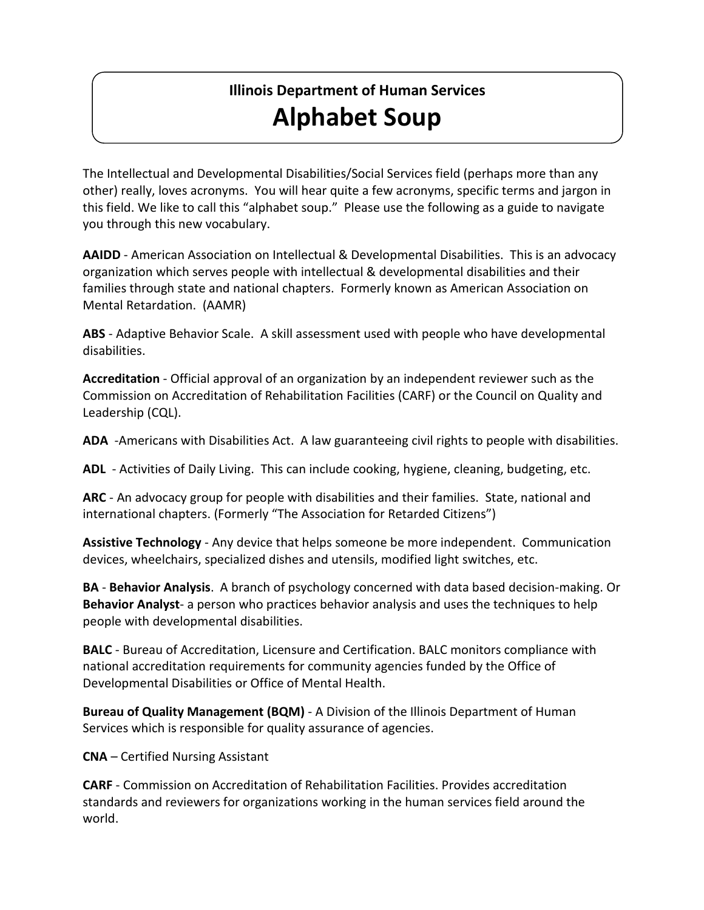## **Illinois Department of Human Services Alphabet Soup**

The Intellectual and Developmental Disabilities/Social Services field (perhaps more than any other) really, loves acronyms. You will hear quite a few acronyms, specific terms and jargon in this field. We like to call this "alphabet soup." Please use the following as a guide to navigate you through this new vocabulary.

**AAIDD** - American Association on Intellectual & Developmental Disabilities. This is an advocacy organization which serves people with intellectual & developmental disabilities and their families through state and national chapters. Formerly known as American Association on Mental Retardation. (AAMR)

**ABS** - Adaptive Behavior Scale. A skill assessment used with people who have developmental disabilities.

**Accreditation** - Official approval of an organization by an independent reviewer such as the Commission on Accreditation of Rehabilitation Facilities (CARF) or the Council on Quality and Leadership (CQL).

**ADA** -Americans with Disabilities Act. A law guaranteeing civil rights to people with disabilities.

**ADL** - Activities of Daily Living. This can include cooking, hygiene, cleaning, budgeting, etc.

**ARC** - An advocacy group for people with disabilities and their families. State, national and international chapters. (Formerly "The Association for Retarded Citizens")

**Assistive Technology** - Any device that helps someone be more independent. Communication devices, wheelchairs, specialized dishes and utensils, modified light switches, etc.

**BA** - **Behavior Analysis**. A branch of psychology concerned with data based decision-making. Or **Behavior Analyst**- a person who practices behavior analysis and uses the techniques to help people with developmental disabilities.

**BALC** - Bureau of Accreditation, Licensure and Certification. BALC monitors compliance with national accreditation requirements for community agencies funded by the Office of Developmental Disabilities or Office of Mental Health.

**Bureau of Quality Management (BQM)** - A Division of the Illinois Department of Human Services which is responsible for quality assurance of agencies.

**CNA** – Certified Nursing Assistant

**CARF** - Commission on Accreditation of Rehabilitation Facilities. Provides accreditation standards and reviewers for organizations working in the human services field around the world.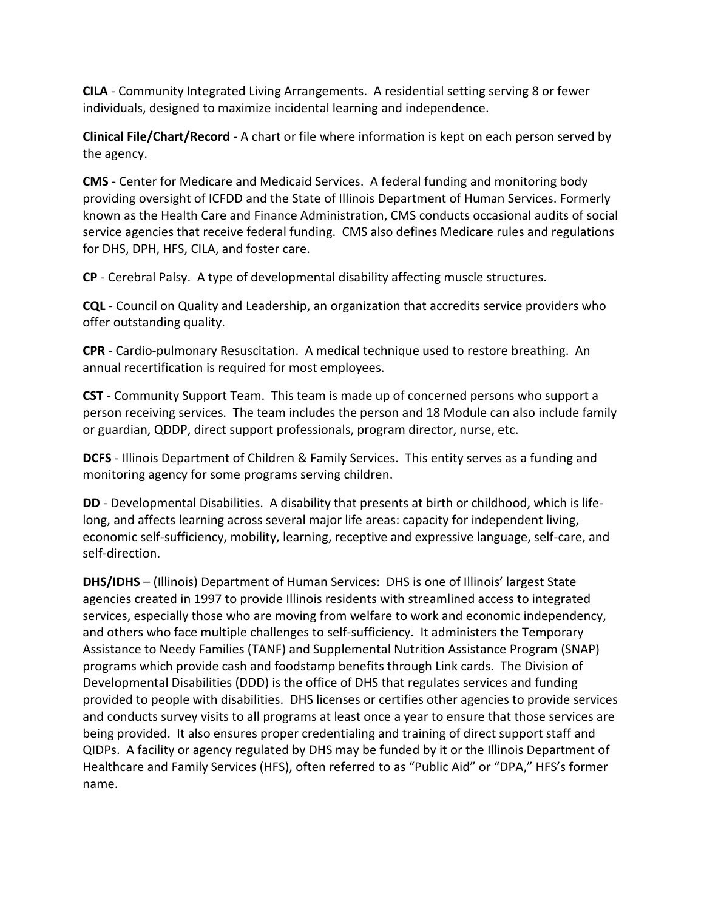**CILA** - Community Integrated Living Arrangements. A residential setting serving 8 or fewer individuals, designed to maximize incidental learning and independence.

**Clinical File/Chart/Record** - A chart or file where information is kept on each person served by the agency.

**CMS** - Center for Medicare and Medicaid Services. A federal funding and monitoring body providing oversight of ICFDD and the State of Illinois Department of Human Services. Formerly known as the Health Care and Finance Administration, CMS conducts occasional audits of social service agencies that receive federal funding. CMS also defines Medicare rules and regulations for DHS, DPH, HFS, CILA, and foster care.

**CP** - Cerebral Palsy. A type of developmental disability affecting muscle structures.

**CQL** - Council on Quality and Leadership, an organization that accredits service providers who offer outstanding quality.

**CPR** - Cardio-pulmonary Resuscitation. A medical technique used to restore breathing. An annual recertification is required for most employees.

**CST** - Community Support Team. This team is made up of concerned persons who support a person receiving services. The team includes the person and 18 Module can also include family or guardian, QDDP, direct support professionals, program director, nurse, etc.

**DCFS** - Illinois Department of Children & Family Services. This entity serves as a funding and monitoring agency for some programs serving children.

**DD** - Developmental Disabilities. A disability that presents at birth or childhood, which is lifelong, and affects learning across several major life areas: capacity for independent living, economic self-sufficiency, mobility, learning, receptive and expressive language, self-care, and self-direction.

**DHS/IDHS** – (Illinois) Department of Human Services: DHS is one of Illinois' largest State agencies created in 1997 to provide Illinois residents with streamlined access to integrated services, especially those who are moving from welfare to work and economic independency, and others who face multiple challenges to self-sufficiency. It administers the Temporary Assistance to Needy Families (TANF) and Supplemental Nutrition Assistance Program (SNAP) programs which provide cash and foodstamp benefits through Link cards. The Division of Developmental Disabilities (DDD) is the office of DHS that regulates services and funding provided to people with disabilities. DHS licenses or certifies other agencies to provide services and conducts survey visits to all programs at least once a year to ensure that those services are being provided. It also ensures proper credentialing and training of direct support staff and QIDPs. A facility or agency regulated by DHS may be funded by it or the Illinois Department of Healthcare and Family Services (HFS), often referred to as "Public Aid" or "DPA," HFS's former name.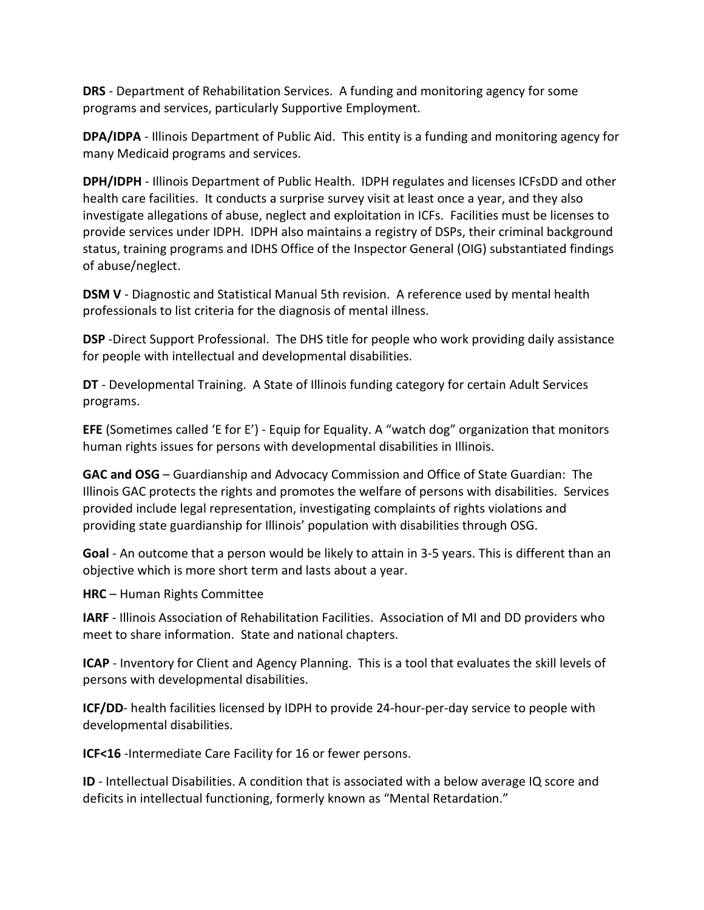**DRS** - Department of Rehabilitation Services. A funding and monitoring agency for some programs and services, particularly Supportive Employment.

**DPA/IDPA** - Illinois Department of Public Aid. This entity is a funding and monitoring agency for many Medicaid programs and services.

**DPH/IDPH** - Illinois Department of Public Health. IDPH regulates and licenses ICFsDD and other health care facilities. It conducts a surprise survey visit at least once a year, and they also investigate allegations of abuse, neglect and exploitation in ICFs. Facilities must be licenses to provide services under IDPH. IDPH also maintains a registry of DSPs, their criminal background status, training programs and IDHS Office of the Inspector General (OIG) substantiated findings of abuse/neglect.

**DSM V** - Diagnostic and Statistical Manual 5th revision. A reference used by mental health professionals to list criteria for the diagnosis of mental illness.

**DSP** -Direct Support Professional. The DHS title for people who work providing daily assistance for people with intellectual and developmental disabilities.

**DT** - Developmental Training. A State of Illinois funding category for certain Adult Services programs.

**EFE** (Sometimes called 'E for E') - Equip for Equality. A "watch dog" organization that monitors human rights issues for persons with developmental disabilities in Illinois.

**GAC and OSG** – Guardianship and Advocacy Commission and Office of State Guardian: The Illinois GAC protects the rights and promotes the welfare of persons with disabilities. Services provided include legal representation, investigating complaints of rights violations and providing state guardianship for Illinois' population with disabilities through OSG.

**Goal** - An outcome that a person would be likely to attain in 3-5 years. This is different than an objective which is more short term and lasts about a year.

**HRC** – Human Rights Committee

**IARF** - Illinois Association of Rehabilitation Facilities. Association of MI and DD providers who meet to share information. State and national chapters.

**ICAP** - Inventory for Client and Agency Planning. This is a tool that evaluates the skill levels of persons with developmental disabilities.

**ICF/DD**- health facilities licensed by IDPH to provide 24-hour-per-day service to people with developmental disabilities.

**ICF<16** -Intermediate Care Facility for 16 or fewer persons.

**ID** - Intellectual Disabilities. A condition that is associated with a below average IQ score and deficits in intellectual functioning, formerly known as "Mental Retardation."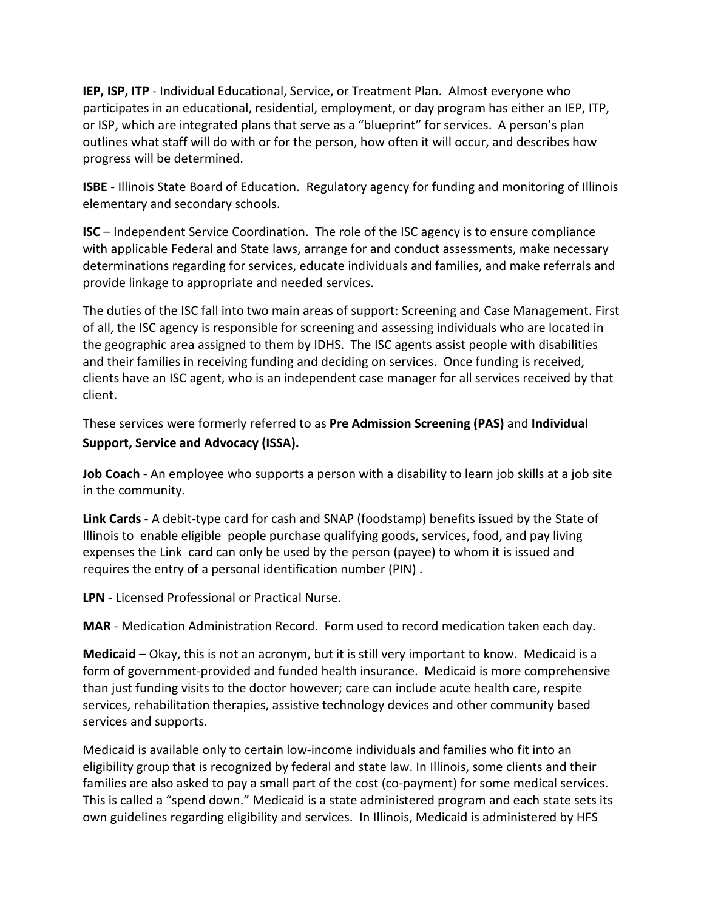**IEP, ISP, ITP** - Individual Educational, Service, or Treatment Plan. Almost everyone who participates in an educational, residential, employment, or day program has either an IEP, ITP, or ISP, which are integrated plans that serve as a "blueprint" for services. A person's plan outlines what staff will do with or for the person, how often it will occur, and describes how progress will be determined.

**ISBE** - Illinois State Board of Education. Regulatory agency for funding and monitoring of Illinois elementary and secondary schools.

**ISC** – Independent Service Coordination. The role of the ISC agency is to ensure compliance with applicable Federal and State laws, arrange for and conduct assessments, make necessary determinations regarding for services, educate individuals and families, and make referrals and provide linkage to appropriate and needed services.

The duties of the ISC fall into two main areas of support: Screening and Case Management. First of all, the ISC agency is responsible for screening and assessing individuals who are located in the geographic area assigned to them by IDHS. The ISC agents assist people with disabilities and their families in receiving funding and deciding on services. Once funding is received, clients have an ISC agent, who is an independent case manager for all services received by that client.

These services were formerly referred to as **Pre Admission Screening (PAS)** and **Individual Support, Service and Advocacy (ISSA).**

**Job Coach** - An employee who supports a person with a disability to learn job skills at a job site in the community.

**Link Cards** - A debit-type card for cash and SNAP (foodstamp) benefits issued by the State of Illinois to enable eligible people purchase qualifying goods, services, food, and pay living expenses the Link card can only be used by the person (payee) to whom it is issued and requires the entry of a personal identification number (PIN) .

**LPN** - Licensed Professional or Practical Nurse.

**MAR** - Medication Administration Record. Form used to record medication taken each day.

**Medicaid** – Okay, this is not an acronym, but it is still very important to know. Medicaid is a form of government-provided and funded health insurance. Medicaid is more comprehensive than just funding visits to the doctor however; care can include acute health care, respite services, rehabilitation therapies, assistive technology devices and other community based services and supports.

Medicaid is available only to certain low-income individuals and families who fit into an eligibility group that is recognized by federal and state law. In Illinois, some clients and their families are also asked to pay a small part of the cost (co-payment) for some medical services. This is called a "spend down." Medicaid is a state administered program and each state sets its own guidelines regarding eligibility and services. In Illinois, Medicaid is administered by HFS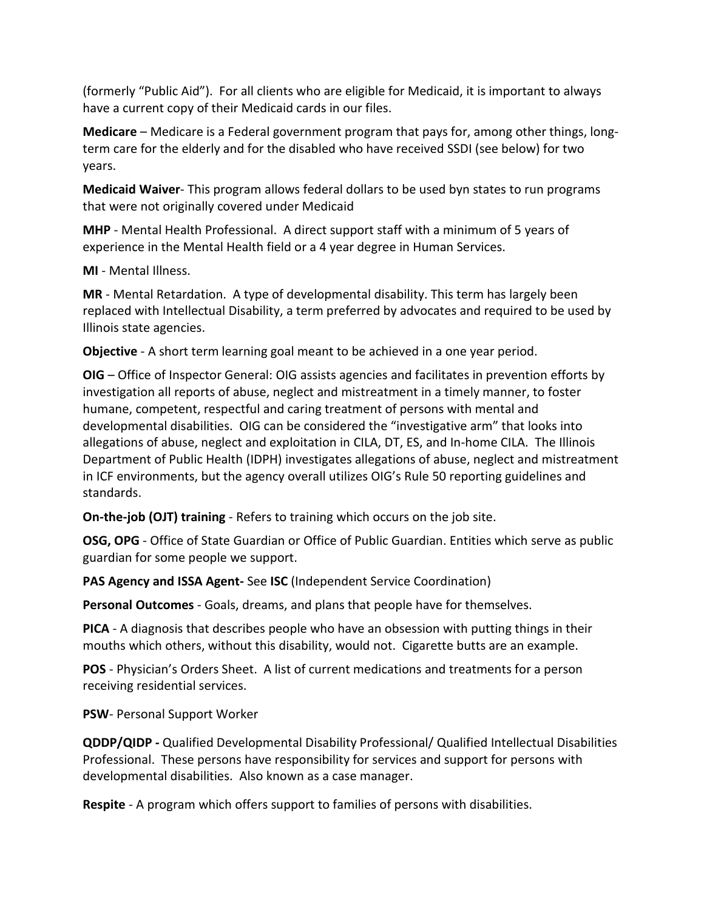(formerly "Public Aid"). For all clients who are eligible for Medicaid, it is important to always have a current copy of their Medicaid cards in our files.

**Medicare** – Medicare is a Federal government program that pays for, among other things, longterm care for the elderly and for the disabled who have received SSDI (see below) for two years.

**Medicaid Waiver**- This program allows federal dollars to be used byn states to run programs that were not originally covered under Medicaid

**MHP** - Mental Health Professional. A direct support staff with a minimum of 5 years of experience in the Mental Health field or a 4 year degree in Human Services.

**MI** - Mental Illness.

**MR** - Mental Retardation. A type of developmental disability. This term has largely been replaced with Intellectual Disability, a term preferred by advocates and required to be used by Illinois state agencies.

**Objective** - A short term learning goal meant to be achieved in a one year period.

**OIG** – Office of Inspector General: OIG assists agencies and facilitates in prevention efforts by investigation all reports of abuse, neglect and mistreatment in a timely manner, to foster humane, competent, respectful and caring treatment of persons with mental and developmental disabilities. OIG can be considered the "investigative arm" that looks into allegations of abuse, neglect and exploitation in CILA, DT, ES, and In-home CILA. The Illinois Department of Public Health (IDPH) investigates allegations of abuse, neglect and mistreatment in ICF environments, but the agency overall utilizes OIG's Rule 50 reporting guidelines and standards.

**On-the-job (OJT) training** - Refers to training which occurs on the job site.

**OSG, OPG** - Office of State Guardian or Office of Public Guardian. Entities which serve as public guardian for some people we support.

**PAS Agency and ISSA Agent-** See **ISC** (Independent Service Coordination)

**Personal Outcomes** - Goals, dreams, and plans that people have for themselves.

**PICA** - A diagnosis that describes people who have an obsession with putting things in their mouths which others, without this disability, would not. Cigarette butts are an example.

**POS** - Physician's Orders Sheet. A list of current medications and treatments for a person receiving residential services.

**PSW**- Personal Support Worker

**QDDP/QIDP -** Qualified Developmental Disability Professional/ Qualified Intellectual Disabilities Professional. These persons have responsibility for services and support for persons with developmental disabilities. Also known as a case manager.

**Respite** - A program which offers support to families of persons with disabilities.